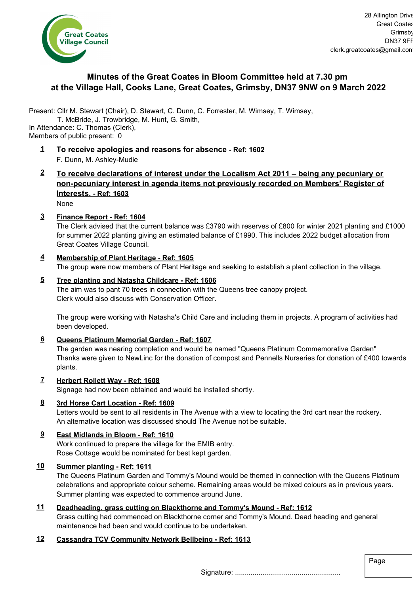

# **Minutes of the Great Coates in Bloom Committee held at 7.30 pm at the Village Hall, Cooks Lane, Great Coates, Grimsby, DN37 9NW on 9 March 2022**

Present: Cllr M. Stewart (Chair), D. Stewart, C. Dunn, C. Forrester, M. Wimsey, T. Wimsey, T. McBride, J. Trowbridge, M. Hunt, G. Smith, Members of public present: 0 In Attendance: C. Thomas (Clerk),

- **1 To receive apologies and reasons for absence Ref: 1602** F. Dunn, M. Ashley-Mudie
- **2 To receive declarations of interest under the Localism Act 2011 being any pecuniary or non-pecuniary interest in agenda items not previously recorded on Members' Register of Interests. - Ref: 1603** None

## **3 Finance Report - Ref: 1604**

The Clerk advised that the current balance was £3790 with reserves of £800 for winter 2021 planting and £1000 for summer 2022 planting giving an estimated balance of £1990. This includes 2022 budget allocation from Great Coates Village Council.

## **4 Membership of Plant Heritage - Ref: 1605**

The group were now members of Plant Heritage and seeking to establish a plant collection in the village.

### **5 Tree planting and Natasha Childcare - Ref: 1606**

The aim was to pant 70 trees in connection with the Queens tree canopy project. Clerk would also discuss with Conservation Officer.

The group were working with Natasha's Child Care and including them in projects. A program of activities had been developed.

#### **6 Queens Platinum Memorial Garden - Ref: 1607**

The garden was nearing completion and would be named "Queens Platinum Commemorative Garden" Thanks were given to NewLinc for the donation of compost and Pennells Nurseries for donation of £400 towards plants.

## **7 Herbert Rollett Way - Ref: 1608**

Signage had now been obtained and would be installed shortly.

#### **8 3rd Horse Cart Location - Ref: 1609**

Letters would be sent to all residents in The Avenue with a view to locating the 3rd cart near the rockery. An alternative location was discussed should The Avenue not be suitable.

# **9 East Midlands in Bloom - Ref: 1610**

Work continued to prepare the village for the EMIB entry. Rose Cottage would be nominated for best kept garden.

## **10 Summer planting - Ref: 1611**

The Queens Platinum Garden and Tommy's Mound would be themed in connection with the Queens Platinum celebrations and appropriate colour scheme. Remaining areas would be mixed colours as in previous years. Summer planting was expected to commence around June.

## **11 Deadheading, grass cutting on Blackthorne and Tommy's Mound - Ref: 1612**

Grass cutting had commenced on Blackthorne corner and Tommy's Mound. Dead heading and general maintenance had been and would continue to be undertaken.

## **12 Cassandra TCV Community Network Bellbeing - Ref: 1613**

Signature: ......................................................